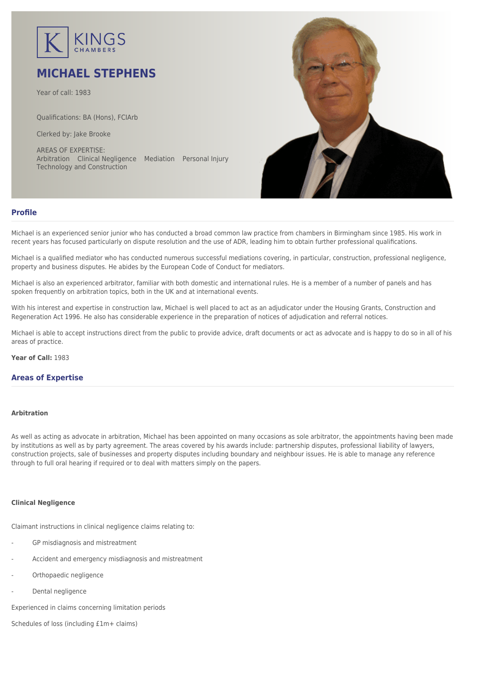

# **MICHAEL STEPHENS**

Year of call: 1983

Qualifications: BA (Hons), FCIArb

Clerked by: [Jake Brooke](mailto:jbrooke@kingschambers.com)

AREAS OF EXPERTISE: Arbitration Clinical Negligence Mediation Personal Injury Technology and Construction



# **Profile**

Michael is an experienced senior junior who has conducted a broad common law practice from chambers in Birmingham since 1985. His work in recent years has focused particularly on dispute resolution and the use of ADR, leading him to obtain further professional qualifications.

Michael is a qualified mediator who has conducted numerous successful mediations covering, in particular, construction, professional negligence, property and business disputes. He abides by the European Code of Conduct for mediators.

Michael is also an experienced arbitrator, familiar with both domestic and international rules. He is a member of a number of panels and has spoken frequently on arbitration topics, both in the UK and at international events.

With his interest and expertise in construction law, Michael is well placed to act as an adjudicator under the Housing Grants, Construction and Regeneration Act 1996. He also has considerable experience in the preparation of notices of adjudication and referral notices.

Michael is able to accept instructions direct from the public to provide advice, draft documents or act as advocate and is happy to do so in all of his areas of practice.

**Year of Call:** 1983

## **Areas of Expertise**

### **[Arbitration](#page--1-0)**

As well as acting as advocate in arbitration, Michael has been appointed on many occasions as sole arbitrator, the appointments having been made by institutions as well as by party agreement. The areas covered by his awards include: partnership disputes, professional liability of lawyers, construction projects, sale of businesses and property disputes including boundary and neighbour issues. He is able to manage any reference through to full oral hearing if required or to deal with matters simply on the papers.

## **[Clinical Negligence](#page--1-0)**

Claimant instructions in clinical negligence claims relating to:

- GP misdiagnosis and mistreatment
- Accident and emergency misdiagnosis and mistreatment
- Orthopaedic negligence
- Dental negligence

Experienced in claims concerning limitation periods

Schedules of loss (including £1m+ claims)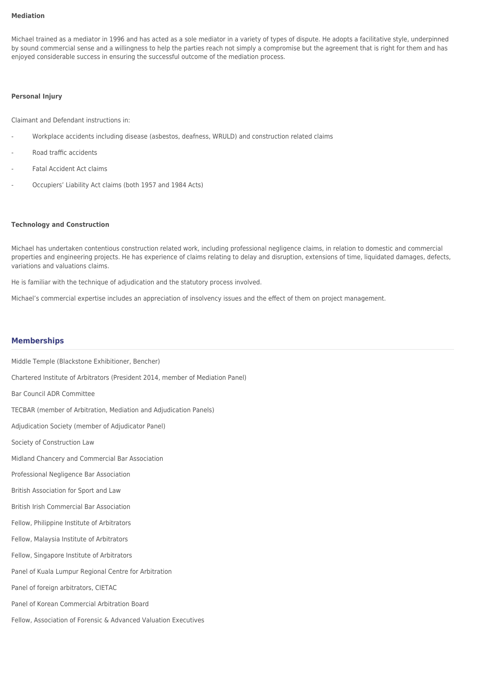#### **[Mediation](#page--1-0)**

Michael trained as a mediator in 1996 and has acted as a sole mediator in a variety of types of dispute. He adopts a facilitative style, underpinned by sound commercial sense and a willingness to help the parties reach not simply a compromise but the agreement that is right for them and has enjoyed considerable success in ensuring the successful outcome of the mediation process.

#### **[Personal Injury](#page--1-0)**

Claimant and Defendant instructions in:

- Workplace accidents including disease (asbestos, deafness, WRULD) and construction related claims
- Road traffic accidents
- Fatal Accident Act claims
- Occupiers' Liability Act claims (both 1957 and 1984 Acts)

#### **[Technology and Construction](#page--1-0)**

Michael has undertaken contentious construction related work, including professional negligence claims, in relation to domestic and commercial properties and engineering projects. He has experience of claims relating to delay and disruption, extensions of time, liquidated damages, defects, variations and valuations claims.

He is familiar with the technique of adjudication and the statutory process involved.

Michael's commercial expertise includes an appreciation of insolvency issues and the effect of them on project management.

## **Memberships**

Middle Temple (Blackstone Exhibitioner, Bencher) Chartered Institute of Arbitrators (President 2014, member of Mediation Panel) Bar Council ADR Committee TECBAR (member of Arbitration, Mediation and Adjudication Panels) Adjudication Society (member of Adjudicator Panel) Society of Construction Law Midland Chancery and Commercial Bar Association Professional Negligence Bar Association British Association for Sport and Law British Irish Commercial Bar Association Fellow, Philippine Institute of Arbitrators Fellow, Malaysia Institute of Arbitrators Fellow, Singapore Institute of Arbitrators Panel of Kuala Lumpur Regional Centre for Arbitration Panel of foreign arbitrators, CIETAC Panel of Korean Commercial Arbitration Board Fellow, Association of Forensic & Advanced Valuation Executives